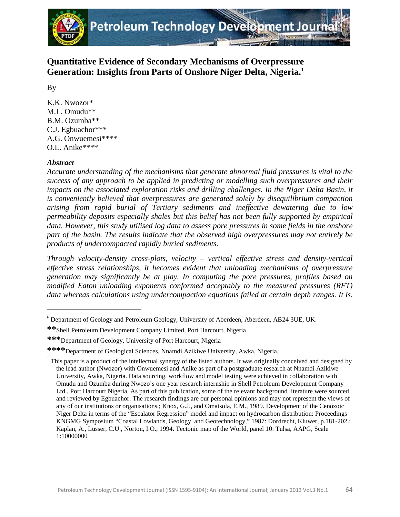

# **Quantitative Evidence of Secondary Mechanisms of Overpressure Generation: Insights from Parts of Onshore Niger Delta, Nigeria. [1](#page-0-0)**

By

K.K. Nwozor\* M.L. Omudu\*\* B.M. Ozumba\*\* C.J. Egbuachor\*\*\* A.G. Onwuemesi\*\*\*\* O.L. Anike\*\*\*\*

## *Abstract*

l

*Accurate understanding of the mechanisms that generate abnormal fluid pressures is vital to the success of any approach to be applied in predicting or modelling such overpressures and their impacts on the associated exploration risks and drilling challenges. In the Niger Delta Basin, it is conveniently believed that overpressures are generated solely by disequilibrium compaction arising from rapid burial of Tertiary sediments and ineffective dewatering due to low permeability deposits especially shales but this belief has not been fully supported by empirical data. However, this study utilised log data to assess pore pressures in some fields in the onshore part of the basin. The results indicate that the observed high overpressures may not entirely be products of undercompacted rapidly buried sediments.* 

*Through velocity-density cross-plots, velocity – vertical effective stress and density-vertical effective stress relationships, it becomes evident that unloading mechanisms of overpressure generation may significantly be at play. In computing the pore pressures, profiles based on modified Eaton unloading exponents conformed acceptably to the measured pressures (RFT) data whereas calculations using undercompaction equations failed at certain depth ranges. It is,* 

<span id="page-0-0"></span>**<sup>\*</sup>** Department of Geology and Petroleum Geology, University of Aberdeen, Aberdeen, AB24 3UE, UK.

**<sup>\*\*</sup>**Shell Petroleum Development Company Limited, Port Harcourt, Nigeria

**<sup>\*\*\*</sup>**Department of Geology, University of Port Harcourt, Nigeria

**<sup>\*\*\*\*</sup>**Department of Geological Sciences, Nnamdi Azikiwe University, Awka, Nigeria.

<sup>&</sup>lt;sup>1</sup> This paper is a product of the intellectual synergy of the listed authors. It was originally conceived and designed by the lead author (Nwozor) with Onwuemesi and Anike as part of a postgraduate research at Nnamdi Azikiwe University, Awka, Nigeria. Data sourcing, workflow and model testing were achieved in collaboration with Omudu and Ozumba during Nwozo's one year research internship in Shell Petroleum Development Company Ltd., Port Harcourt Nigeria. As part of this publication, some of the relevant background literature were sourced and reviewed by Egbuachor. The research findings are our personal opinions and may not represent the views of any of our institutions or organisations.; Knox, G.J., and Omatsola, E.M., 1989. Development of the Cenozoic Niger Delta in terms of the "Escalator Regression" model and impact on hydrocarbon distribution: Proceedings KNGMG Symposium "Coastal Lowlands, Geology and Geotechnology," 1987: Dordrecht, Kluwer, p.181-202.; Kaplan, A., Lusser, C.U., Norton, I.O., 1994. Tectonic map of the World, panel 10: Tulsa, AAPG, Scale 1:10000000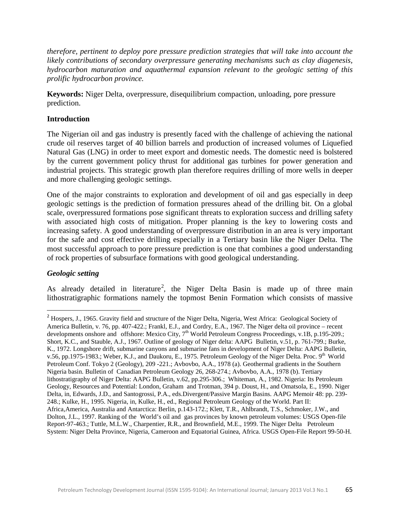*therefore, pertinent to deploy pore pressure prediction strategies that will take into account the likely contributions of secondary overpressure generating mechanisms such as clay diagenesis, hydrocarbon maturation and aquathermal expansion relevant to the geologic setting of this prolific hydrocarbon province.*

**Keywords:** Niger Delta, overpressure, disequilibrium compaction, unloading, pore pressure prediction.

## **Introduction**

The Nigerian oil and gas industry is presently faced with the challenge of achieving the national crude oil reserves target of 40 billion barrels and production of increased volumes of Liquefied Natural Gas (LNG) in order to meet export and domestic needs. The domestic need is bolstered by the current government policy thrust for additional gas turbines for power generation and industrial projects. This strategic growth plan therefore requires drilling of more wells in deeper and more challenging geologic settings.

One of the major constraints to exploration and development of oil and gas especially in deep geologic settings is the prediction of formation pressures ahead of the drilling bit. On a global scale, overpressured formations pose significant threats to exploration success and drilling safety with associated high costs of mitigation. Proper planning is the key to lowering costs and increasing safety. A good understanding of overpressure distribution in an area is very important for the safe and cost effective drilling especially in a Tertiary basin like the Niger Delta. The most successful approach to pore pressure prediction is one that combines a good understanding of rock properties of subsurface formations with good geological understanding.

## *Geologic setting*

As already detailed in literature<sup>[2](#page-1-0)</sup>, the Niger Delta Basin is made up of three main lithostratigraphic formations namely the topmost Benin Formation which consists of massive

<span id="page-1-0"></span><sup>&</sup>lt;sup>2</sup> Hospers, J., 1965. Gravity field and structure of the Niger Delta, Nigeria, West Africa: Geological Society of America Bulletin, v. 76, pp. 407-422.; Frankl, E.J., and Cordry, E.A., 1967. The Niger delta oil province – recent developments onshore and offshore: Mexico City, 7<sup>th</sup> World Petroleum Congress Proceedings, v.1B, p.195-209.; Short, K.C., and Stauble, A.J., 1967. Outline of geology of Niger delta: AAPG Bulletin, v.51, p. 761-799.; Burke, K., 1972. Longshore drift, submarine canyons and submarine fans in development of Niger Delta: AAPG Bulletin, v.56, pp.1975-1983.; Weber, K.J., and Daukoru, E., 1975. Petroleum Geology of the Niger Delta. Proc. 9<sup>th</sup> World Petroleum Conf. Tokyo 2 (Geology), 209 -221.; Avbovbo, A.A., 1978 (a). Geothermal gradients in the Southern Nigeria basin. Bulletin of Canadian Petroleum Geology 26, 268-274.; Avbovbo, A.A., 1978 (b). Tertiary lithostratigraphy of Niger Delta: AAPG Bulletin, v.62, pp.295-306.; Whiteman, A., 1982. Nigeria: Its Petroleum Geology, Resources and Potential: London, Graham and Trotman, 394 p. Doust, H., and Omatsola, E., 1990. Niger Delta, in, Edwards, J.D., and Santogrossi, P.A., eds.Divergent/Passive Margin Basins. AAPG Memoir 48: pp. 239- 248.; Kulke, H., 1995. Nigeria, in, Kulke, H., ed., Regional Petroleum Geology of the World. Part II: Africa,America, Australia and Antarctica: Berlin, p.143-172.; Klett, T.R., Ahlbrandt, T.S., Schmoker, J.W., and Dolton, J.L., 1997. Ranking of the World's oil and gas provinces by known petroleum volumes: USGS Open-file Report-97-463.; Tuttle, M.L.W., Charpentier, R.R., and Brownfield, M.E., 1999. The Niger Delta Petroleum System: Niger Delta Province, Nigeria, Cameroon and Equatorial Guinea, Africa. USGS Open-File Report 99-50-H.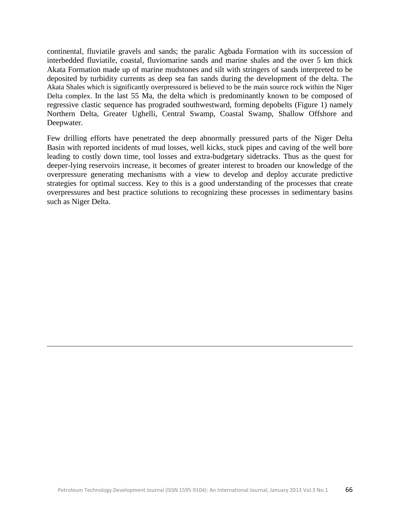continental, fluviatile gravels and sands; the paralic Agbada Formation with its succession of interbedded fluviatile, coastal, fluviomarine sands and marine shales and the over 5 km thick Akata Formation made up of marine mudstones and silt with stringers of sands interpreted to be deposited by turbidity currents as deep sea fan sands during the development of the delta. The Akata Shales which is significantly overpressured is believed to be the main source rock within the Niger Delta complex. In the last 55 Ma, the delta which is predominantly known to be composed of regressive clastic sequence has prograded southwestward, forming depobelts (Figure 1) namely Northern Delta, Greater Ughelli, Central Swamp, Coastal Swamp, Shallow Offshore and Deepwater.

Few drilling efforts have penetrated the deep abnormally pressured parts of the Niger Delta Basin with reported incidents of mud losses, well kicks, stuck pipes and caving of the well bore leading to costly down time, tool losses and extra-budgetary sidetracks. Thus as the quest for deeper-lying reservoirs increase, it becomes of greater interest to broaden our knowledge of the overpressure generating mechanisms with a view to develop and deploy accurate predictive strategies for optimal success. Key to this is a good understanding of the processes that create overpressures and best practice solutions to recognizing these processes in sedimentary basins such as Niger Delta.

 $\overline{\phantom{0}}$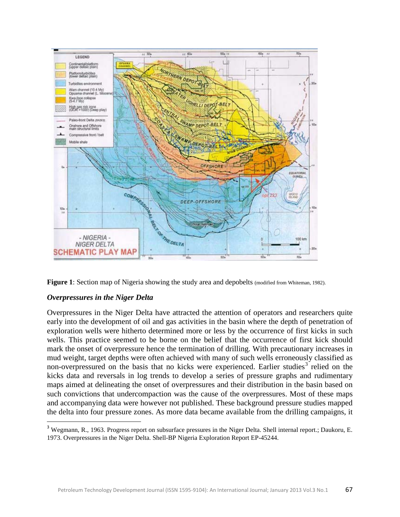



### *Overpressures in the Niger Delta*

Overpressures in the Niger Delta have attracted the attention of operators and researchers quite early into the development of oil and gas activities in the basin where the depth of penetration of exploration wells were hitherto determined more or less by the occurrence of first kicks in such wells. This practice seemed to be borne on the belief that the occurrence of first kick should mark the onset of overpressure hence the termination of drilling. With precautionary increases in mud weight, target depths were often achieved with many of such wells erroneously classified as non-overpressured on the basis that no kicks were experienced. Earlier studies<sup>[3](#page-3-0)</sup> relied on the kicks data and reversals in log trends to develop a series of pressure graphs and rudimentary maps aimed at delineating the onset of overpressures and their distribution in the basin based on such convictions that undercompaction was the cause of the overpressures. Most of these maps and accompanying data were however not published. These background pressure studies mapped the delta into four pressure zones. As more data became available from the drilling campaigns, it

<span id="page-3-0"></span><sup>&</sup>lt;sup>3</sup> Wegmann, R., 1963. Progress report on subsurface pressures in the Niger Delta. Shell internal report.; Daukoru, E. 1973. Overpressures in the Niger Delta. Shell-BP Nigeria Exploration Report EP-45244.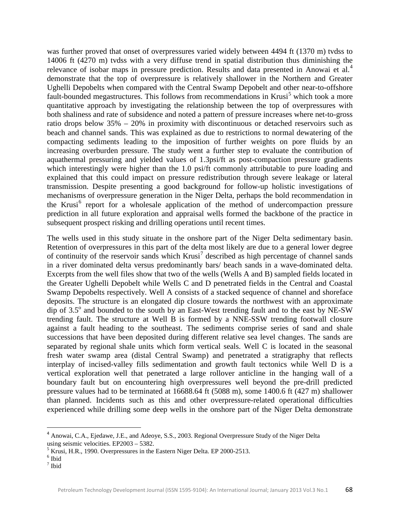was further proved that onset of overpressures varied widely between 4494 ft (1370 m) tvdss to 14006 ft (4270 m) tvdss with a very diffuse trend in spatial distribution thus diminishing the relevance of isobar maps in pressure prediction. Results and data presented in Anowai et al.<sup>[4](#page-4-0)</sup> demonstrate that the top of overpressure is relatively shallower in the Northern and Greater Ughelli Depobelts when compared with the Central Swamp Depobelt and other near-to-offshore fault-bounded megastructures. This follows from recommendations in Krusi<sup>[5](#page-4-1)</sup> which took a more quantitative approach by investigating the relationship between the top of overpressures with both shaliness and rate of subsidence and noted a pattern of pressure increases where net-to-gross ratio drops below 35% – 20% in proximity with discontinuous or detached reservoirs such as beach and channel sands. This was explained as due to restrictions to normal dewatering of the compacting sediments leading to the imposition of further weights on pore fluids by an increasing overburden pressure. The study went a further step to evaluate the contribution of aquathermal pressuring and yielded values of 1.3psi/ft as post-compaction pressure gradients which interestingly were higher than the 1.0 psi/ft commonly attributable to pure loading and explained that this could impact on pressure redistribution through severe leakage or lateral transmission. Despite presenting a good background for follow-up holistic investigations of mechanisms of overpressure generation in the Niger Delta, perhaps the bold recommendation in the Krusi<sup>[6](#page-4-2)</sup> report for a wholesale application of the method of undercompaction pressure prediction in all future exploration and appraisal wells formed the backbone of the practice in subsequent prospect risking and drilling operations until recent times.

The wells used in this study situate in the onshore part of the Niger Delta sedimentary basin. Retention of overpressures in this part of the delta most likely are due to a general lower degree of continuity of the reservoir sands which Krusi [7](#page-4-3) described as high percentage of channel sands in a river dominated delta versus predominantly bars/ beach sands in a wave-dominated delta. Excerpts from the well files show that two of the wells (Wells A and B) sampled fields located in the Greater Ughelli Depobelt while Wells C and D penetrated fields in the Central and Coastal Swamp Depobelts respectively. Well A consists of a stacked sequence of channel and shoreface deposits. The structure is an elongated dip closure towards the northwest with an approximate dip of  $3.5^{\circ}$  and bounded to the south by an East-West trending fault and to the east by NE-SW trending fault. The structure at Well B is formed by a NNE-SSW trending footwall closure against a fault heading to the southeast. The sediments comprise series of sand and shale successions that have been deposited during different relative sea level changes. The sands are separated by regional shale units which form vertical seals. Well C is located in the seasonal fresh water swamp area (distal Central Swamp) and penetrated a stratigraphy that reflects interplay of incised-valley fills sedimentation and growth fault tectonics while Well D is a vertical exploration well that penetrated a large rollover anticline in the hanging wall of a boundary fault but on encountering high overpressures well beyond the pre-drill predicted pressure values had to be terminated at 16688.64 ft (5088 m), some 1400.6 ft (427 m) shallower than planned. Incidents such as this and other overpressure-related operational difficulties experienced while drilling some deep wells in the onshore part of the Niger Delta demonstrate

<span id="page-4-0"></span><sup>&</sup>lt;sup>4</sup> Anowai, C.A., Ejedawe, J.E., and Adeoye, S.S., 2003. Regional Overpressure Study of the Niger Delta using seismic velocities. EP2003 – 5382.

<span id="page-4-1"></span> $^5$  Krusi, H.R., 1990. Overpressures in the Eastern Niger Delta. EP 2000-2513.  $^6$  Ibid

<span id="page-4-2"></span>

<span id="page-4-3"></span><sup>7</sup> Ibid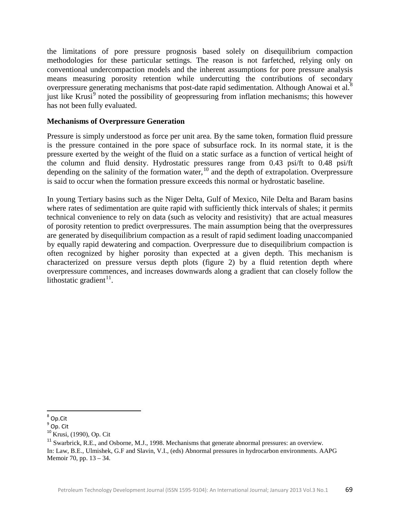the limitations of pore pressure prognosis based solely on disequilibrium compaction methodologies for these particular settings. The reason is not farfetched, relying only on conventional undercompaction models and the inherent assumptions for pore pressure analysis means measuring porosity retention while undercutting the contributions of secondary overpressure generating mechanisms that post-date rapid sedimentation. Although Anowai et al. $8$ just like Krusi<sup>[9](#page-5-1)</sup> noted the possibility of geopressuring from inflation mechanisms; this however has not been fully evaluated.

#### **Mechanisms of Overpressure Generation**

Pressure is simply understood as force per unit area. By the same token, formation fluid pressure is the pressure contained in the pore space of subsurface rock. In its normal state, it is the pressure exerted by the weight of the fluid on a static surface as a function of vertical height of the column and fluid density. Hydrostatic pressures range from 0.43 psi/ft to 0.48 psi/ft depending on the salinity of the formation water,<sup>[10](#page-5-2)</sup> and the depth of extrapolation. Overpressure is said to occur when the formation pressure exceeds this normal or hydrostatic baseline.

In young Tertiary basins such as the Niger Delta, Gulf of Mexico, Nile Delta and Baram basins where rates of sedimentation are quite rapid with sufficiently thick intervals of shales; it permits technical convenience to rely on data (such as velocity and resistivity) that are actual measures of porosity retention to predict overpressures. The main assumption being that the overpressures are generated by disequilibrium compaction as a result of rapid sediment loading unaccompanied by equally rapid dewatering and compaction. Overpressure due to disequilibrium compaction is often recognized by higher porosity than expected at a given depth. This mechanism is characterized on pressure versus depth plots (figure 2) by a fluid retention depth where overpressure commences, and increases downwards along a gradient that can closely follow the lithostatic gradient $^{11}$  $^{11}$  $^{11}$ .

<span id="page-5-0"></span> <sup>8</sup> Op.Cit

<span id="page-5-1"></span><sup>&</sup>lt;sup>9</sup> Op. Cit<br><sup>10</sup> Krusi, (1990), Op. Cit

<span id="page-5-3"></span><span id="page-5-2"></span> $11$  Swarbrick, R.E., and Osborne, M.J., 1998. Mechanisms that generate abnormal pressures: an overview. In: Law, B.E., Ulmishek, G.F and Slavin, V.I., (eds) Abnormal pressures in hydrocarbon environments. AAPG Memoir 70, pp. 13 – 34.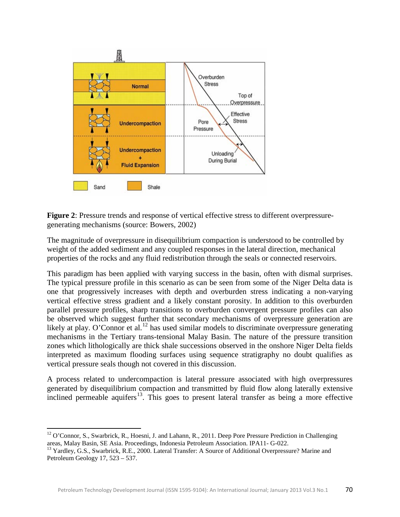

**Figure 2**: Pressure trends and response of vertical effective stress to different overpressuregenerating mechanisms (source: Bowers, 2002)

The magnitude of overpressure in disequilibrium compaction is understood to be controlled by weight of the added sediment and any coupled responses in the lateral direction, mechanical properties of the rocks and any fluid redistribution through the seals or connected reservoirs.

This paradigm has been applied with varying success in the basin, often with dismal surprises. The typical pressure profile in this scenario as can be seen from some of the Niger Delta data is one that progressively increases with depth and overburden stress indicating a non-varying vertical effective stress gradient and a likely constant porosity. In addition to this overburden parallel pressure profiles, sharp transitions to overburden convergent pressure profiles can also be observed which suggest further that secondary mechanisms of overpressure generation are likely at play. O'Connor et al.<sup>[12](#page-6-0)</sup> has used similar models to discriminate overpressure generating mechanisms in the Tertiary trans-tensional Malay Basin. The nature of the pressure transition zones which lithologically are thick shale successions observed in the onshore Niger Delta fields interpreted as maximum flooding surfaces using sequence stratigraphy no doubt qualifies as vertical pressure seals though not covered in this discussion.

A process related to undercompaction is lateral pressure associated with high overpressures generated by disequilibrium compaction and transmitted by fluid flow along laterally extensive inclined permeable aquifers<sup>[13](#page-6-1)</sup>. This goes to present lateral transfer as being a more effective

 $\overline{\phantom{0}}$ 

<span id="page-6-0"></span><sup>&</sup>lt;sup>12</sup> O'Connor, S., Swarbrick, R., Hoesni, J. and Lahann, R., 2011. Deep Pore Pressure Prediction in Challenging areas, Malay Basin, SE Asia. Proceedings, Indonesia Petroleum Association. IPA11- G-022.

<span id="page-6-1"></span><sup>&</sup>lt;sup>13</sup> Yardley, G.S., Swarbrick, R.E., 2000. Lateral Transfer: A Source of Additional Overpressure? Marine and Petroleum Geology 17, 523 – 537.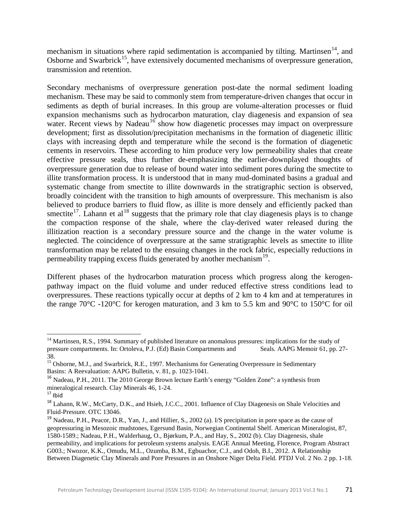mechanism in situations where rapid sedimentation is accompanied by tilting. Martinsen<sup>14</sup>, and Osborne and Swarbrick<sup>[15](#page-7-1)</sup>, have extensively documented mechanisms of overpressure generation, transmission and retention.

Secondary mechanisms of overpressure generation post-date the normal sediment loading mechanism. These may be said to commonly stem from temperature-driven changes that occur in sediments as depth of burial increases. In this group are volume-alteration processes or fluid expansion mechanisms such as hydrocarbon maturation, clay diagenesis and expansion of sea water. Recent views by Nadeau<sup>[16](#page-7-2)</sup> show how diagenetic processes may impact on overpressure development; first as dissolution/precipitation mechanisms in the formation of diagenetic illitic clays with increasing depth and temperature while the second is the formation of diagenetic cements in reservoirs. These according to him produce very low permeability shales that create effective pressure seals, thus further de-emphasizing the earlier-downplayed thoughts of overpressure generation due to release of bound water into sediment pores during the smectite to illite transformation process. It is understood that in many mud-dominated basins a gradual and systematic change from smectite to illite downwards in the stratigraphic section is observed, broadly coincident with the transition to high amounts of overpressure. This mechanism is also believed to produce barriers to fluid flow, as illite is more densely and efficiently packed than smectite<sup>17</sup>. Lahann et al<sup>[18](#page-7-4)</sup> suggests that the primary role that clay diagenesis plays is to change the compaction response of the shale, where the clay-derived water released during the illitization reaction is a secondary pressure source and the change in the water volume is neglected. The coincidence of overpressure at the same stratigraphic levels as smectite to illite transformation may be related to the ensuing changes in the rock fabric, especially reductions in permeability trapping excess fluids generated by another mechanism<sup>[19](#page-7-5)</sup>.

Different phases of the hydrocarbon maturation process which progress along the kerogenpathway impact on the fluid volume and under reduced effective stress conditions lead to overpressures. These reactions typically occur at depths of 2 km to 4 km and at temperatures in the range 70°C -120°C for kerogen maturation, and 3 km to 5.5 km and 90°C to 150°C for oil

ı

<span id="page-7-0"></span><sup>&</sup>lt;sup>14</sup> Martinsen, R.S., 1994. Summary of published literature on anomalous pressures: implications for the study of pressure compartments. In: Ortoleva, P.J. (Ed) Basin Compartments and Seals. AAPG Memoir 61, pp. 27-38.

<span id="page-7-1"></span><sup>&</sup>lt;sup>15</sup> Osborne, M.J., and Swarbrick, R.E., 1997. Mechanisms for Generating Overpressure in Sedimentary Basins: A Reevaluation: AAPG Bulletin, v. 81, p. 1023-1041.

<span id="page-7-2"></span><sup>16</sup> Nadeau, P.H., 2011. The 2010 George Brown lecture Earth's energy "Golden Zone": a synthesis from mineralogical research. Clay Minerals 46, 1-24.<br><sup>17</sup> Ibid

<span id="page-7-4"></span><span id="page-7-3"></span><sup>&</sup>lt;sup>18</sup> Lahann, R.W., McCarty, D.K., and Hsieh, J.C.C., 2001. Influence of Clay Diagenesis on Shale Velocities and Fluid-Pressure. OTC 13046.

<span id="page-7-5"></span> $19$  Nadeau, P.H., Peacor, D.R., Yan, J., and Hillier, S., 2002 (a). I/S precipitation in pore space as the cause of geopressuring in Mesozoic mudstones, Egersund Basin, Norwegian Continental Shelf. American Mineralogist, 87, 1580-1589.; Nadeau, P.H., Walderhaug, O., Bjørkum, P.A., and Hay, S., 2002 (b). Clay Diagenesis, shale permeability, and implications for petroleum systems analysis. EAGE Annual Meeting, Florence, Program Abstract G003.; Nwozor, K.K., Omudu, M.L., Ozumba, B.M., Egbuachor, C.J., and Odoh, B.I., 2012. A Relationship Between Diagenetic Clay Minerals and Pore Pressures in an Onshore Niger Delta Field. PTDJ Vol. 2 No. 2 pp. 1-18.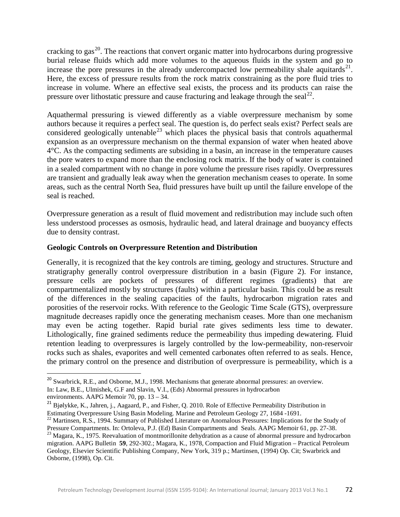cracking to gas<sup>[20](#page-8-0)</sup>. The reactions that convert organic matter into hydrocarbons during progressive burial release fluids which add more volumes to the aqueous fluids in the system and go to increase the pore pressures in the already undercompacted low permeability shale aquitards $^{21}$  $^{21}$  $^{21}$ . Here, the excess of pressure results from the rock matrix constraining as the pore fluid tries to increase in volume. Where an effective seal exists, the process and its products can raise the pressure over lithostatic pressure and cause fracturing and leakage through the seal<sup>[22](#page-8-2)</sup>.

Aquathermal pressuring is viewed differently as a viable overpressure mechanism by some authors because it requires a perfect seal. The question is, do perfect seals exist? Perfect seals are considered geologically untenable<sup>[23](#page-8-3)</sup> which places the physical basis that controls aquathermal expansion as an overpressure mechanism on the thermal expansion of water when heated above 4°C. As the compacting sediments are subsiding in a basin, an increase in the temperature causes the pore waters to expand more than the enclosing rock matrix. If the body of water is contained in a sealed compartment with no change in pore volume the pressure rises rapidly. Overpressures are transient and gradually leak away when the generation mechanism ceases to operate. In some areas, such as the central North Sea, fluid pressures have built up until the failure envelope of the seal is reached.

Overpressure generation as a result of fluid movement and redistribution may include such often less understood processes as osmosis, hydraulic head, and lateral drainage and buoyancy effects due to density contrast.

## **Geologic Controls on Overpressure Retention and Distribution**

Generally, it is recognized that the key controls are timing, geology and structures. Structure and stratigraphy generally control overpressure distribution in a basin (Figure 2). For instance, pressure cells are pockets of pressures of different regimes (gradients) that are compartmentalized mostly by structures (faults) within a particular basin. This could be as result of the differences in the sealing capacities of the faults, hydrocarbon migration rates and porosities of the reservoir rocks. With reference to the Geologic Time Scale (GTS), overpressure magnitude decreases rapidly once the generating mechanism ceases. More than one mechanism may even be acting together. Rapid burial rate gives sediments less time to dewater. Lithologically, fine grained sediments reduce the permeability thus impeding dewatering. Fluid retention leading to overpressures is largely controlled by the low-permeability, non-reservoir rocks such as shales, evaporites and well cemented carbonates often referred to as seals. Hence, the primary control on the presence and distribution of overpressure is permeability, which is a

<span id="page-8-0"></span><sup>&</sup>lt;sup>20</sup> Swarbrick, R.E., and Osborne, M.J., 1998. Mechanisms that generate abnormal pressures: an overview. In: Law, B.E., Ulmishek, G.F and Slavin, V.I., (Eds) Abnormal pressures in hydrocarbon

<span id="page-8-1"></span>environments. AAPG Memoir 70, pp.  $13 - 34$ .<br><sup>21</sup> Bjølykke, K., Jahren, j., Aagaard, P., and Fisher, Q. 2010. Role of Effective Permeability Distribution in Estimating Overpressure Using Basin Modeling. Marine and Petroleu

<span id="page-8-2"></span><sup>&</sup>lt;sup>22</sup> Martinsen, R.S., 1994. Summary of Published Literature on Anomalous Pressures: Implications for the Study of Pressure Compartments. In: Ortoleva, P.J. (Ed) Basin Compartments and Seals. AAPG Memoir 61, pp. 27-38.

<span id="page-8-3"></span><sup>&</sup>lt;sup>23</sup> Magara, K., 1975. Reevaluation of montmorillonite dehydration as a cause of abnormal pressure and hydrocarbon migration. AAPG Bulletin **59**, 292-302.; Magara, K., 1978, Compaction and Fluid Migration – Practical Petroleum Geology, Elsevier Scientific Publishing Company, New York, 319 p.; Martinsen, (1994) Op. Cit; Swarbrick and Osborne, (1998), Op. Cit.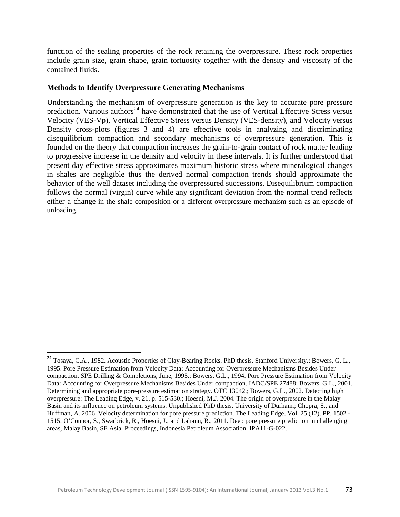function of the sealing properties of the rock retaining the overpressure. These rock properties include grain size, grain shape, grain tortuosity together with the density and viscosity of the contained fluids.

### **Methods to Identify Overpressure Generating Mechanisms**

Understanding the mechanism of overpressure generation is the key to accurate pore pressure prediction. Various authors<sup>[24](#page-9-0)</sup> have demonstrated that the use of Vertical Effective Stress versus Velocity (VES-Vp), Vertical Effective Stress versus Density (VES-density), and Velocity versus Density cross-plots (figures 3 and 4) are effective tools in analyzing and discriminating disequilibrium compaction and secondary mechanisms of overpressure generation. This is founded on the theory that compaction increases the grain-to-grain contact of rock matter leading to progressive increase in the density and velocity in these intervals. It is further understood that present day effective stress approximates maximum historic stress where mineralogical changes in shales are negligible thus the derived normal compaction trends should approximate the behavior of the well dataset including the overpressured successions. Disequilibrium compaction follows the normal (virgin) curve while any significant deviation from the normal trend reflects either a change in the shale composition or a different overpressure mechanism such as an episode of unloading.

<span id="page-9-0"></span> <sup>24</sup> Tosaya, C.A., 1982. Acoustic Properties of Clay-Bearing Rocks. PhD thesis. Stanford University.; Bowers, G. L., 1995. Pore Pressure Estimation from Velocity Data; Accounting for Overpressure Mechanisms Besides Under compaction. SPE Drilling & Completions, June, 1995.; Bowers, G.L., 1994. Pore Pressure Estimation from Velocity Data: Accounting for Overpressure Mechanisms Besides Under compaction. IADC/SPE 27488; Bowers, G.L., 2001. Determining and appropriate pore-pressure estimation strategy. OTC 13042.; Bowers, G.L., 2002. Detecting high overpressure: The Leading Edge, v. 21, p. 515-530.; Hoesni, M.J. 2004. The origin of overpressure in the Malay Basin and its influence on petroleum systems. Unpublished PhD thesis, University of Durham.; Chopra, S., and Huffman, A. 2006. Velocity determination for pore pressure prediction. The Leading Edge, Vol. 25 (12). PP. 1502 - 1515; O'Connor, S., Swarbrick, R., Hoesni, J., and Lahann, R., 2011. Deep pore pressure prediction in challenging areas, Malay Basin, SE Asia. Proceedings, Indonesia Petroleum Association. IPA11-G-022.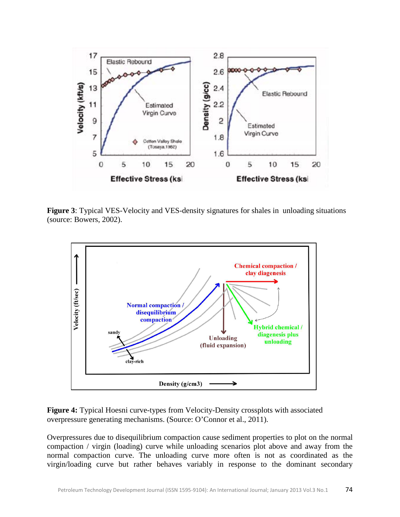

**Figure 3**: Typical VES-Velocity and VES-density signatures for shales in unloading situations (source: Bowers, 2002).



**Figure 4:** Typical Hoesni curve-types from Velocity-Density crossplots with associated overpressure generating mechanisms. (Source: O'Connor et al., 2011).

Overpressures due to disequilibrium compaction cause sediment properties to plot on the normal compaction / virgin (loading) curve while unloading scenarios plot above and away from the normal compaction curve. The unloading curve more often is not as coordinated as the virgin/loading curve but rather behaves variably in response to the dominant secondary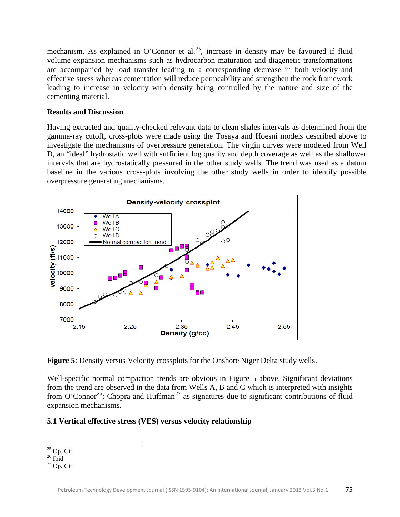mechanism. As explained in O'Connor et al.<sup>[25](#page-11-0)</sup>, increase in density may be favoured if fluid volume expansion mechanisms such as hydrocarbon maturation and diagenetic transformations are accompanied by load transfer leading to a corresponding decrease in both velocity and effective stress whereas cementation will reduce permeability and strengthen the rock framework leading to increase in velocity with density being controlled by the nature and size of the cementing material.

### **Results and Discussion**

Having extracted and quality-checked relevant data to clean shales intervals as determined from the gamma-ray cutoff, cross-plots were made using the Tosaya and Hoesni models described above to investigate the mechanisms of overpressure generation. The virgin curves were modeled from Well D, an "ideal" hydrostatic well with sufficient log quality and depth coverage as well as the shallower intervals that are hydrostatically pressured in the other study wells. The trend was used as a datum baseline in the various cross-plots involving the other study wells in order to identify possible overpressure generating mechanisms.



**Figure 5**: Density versus Velocity crossplots for the Onshore Niger Delta study wells.

Well-specific normal compaction trends are obvious in Figure 5 above. Significant deviations from the trend are observed in the data from Wells A, B and C which is interpreted with insights from O'Connor<sup>26</sup>; Chopra and Huffman<sup>[27](#page-11-2)</sup> as signatures due to significant contributions of fluid expansion mechanisms.

## **5.1 Vertical effective stress (VES) versus velocity relationship**

 $\overline{\phantom{0}}$ 

<span id="page-11-2"></span><span id="page-11-1"></span>

<span id="page-11-0"></span> $^{25}_{26}$  Op. Cit<br> $^{26}_{27}$  Op. Cit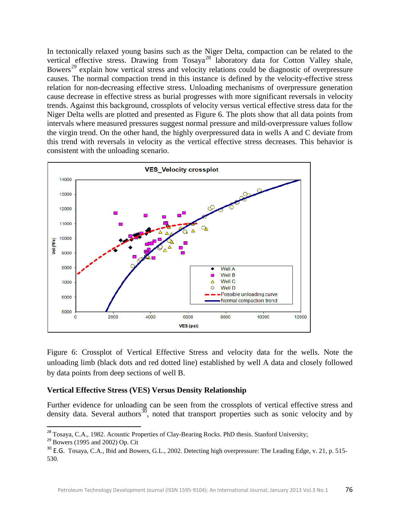In tectonically relaxed young basins such as the Niger Delta, compaction can be related to the vertical effective stress. Drawing from Tosaya<sup>[28](#page-12-0)</sup> laboratory data for Cotton Valley shale, Bowers<sup>[29](#page-12-1)</sup> explain how vertical stress and velocity relations could be diagnostic of overpressure causes. The normal compaction trend in this instance is defined by the velocity-effective stress relation for non-decreasing effective stress. Unloading mechanisms of overpressure generation cause decrease in effective stress as burial progresses with more significant reversals in velocity trends. Against this background, crossplots of velocity versus vertical effective stress data for the Niger Delta wells are plotted and presented as Figure 6. The plots show that all data points from intervals where measured pressures suggest normal pressure and mild-overpressure values follow the virgin trend. On the other hand, the highly overpressured data in wells A and C deviate from this trend with reversals in velocity as the vertical effective stress decreases. This behavior is consistent with the unloading scenario.



Figure 6: Crossplot of Vertical Effective Stress and velocity data for the wells. Note the unloading limb (black dots and red dotted line) established by well A data and closely followed by data points from deep sections of well B.

#### **Vertical Effective Stress (VES) Versus Density Relationship**

Further evidence for unloading can be seen from the crossplots of vertical effective stress and density data. Several authors<sup>[30](#page-12-2)</sup>, noted that transport properties such as sonic velocity and by

<sup>&</sup>lt;sup>28</sup> Tosaya, C.A., 1982. Acoustic Properties of Clay-Bearing Rocks. PhD thesis. Stanford University;

<span id="page-12-1"></span><span id="page-12-0"></span> $29$  Bowers (1995 and 2002) Op. Cit

<span id="page-12-2"></span><sup>&</sup>lt;sup>30</sup> E.G. Tosaya, C.A., Ibid and Bowers, G.L., 2002. Detecting high overpressure: The Leading Edge, v. 21, p. 515-530.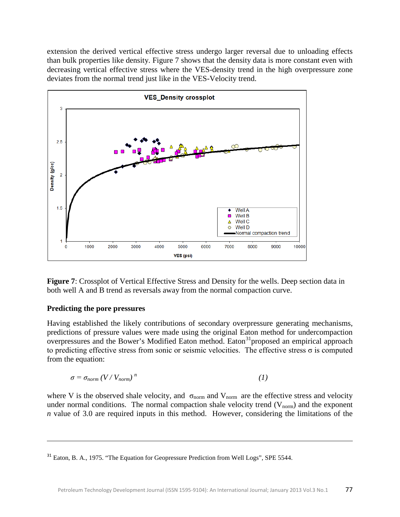extension the derived vertical effective stress undergo larger reversal due to unloading effects than bulk properties like density. Figure 7 shows that the density data is more constant even with decreasing vertical effective stress where the VES-density trend in the high overpressure zone deviates from the normal trend just like in the VES-Velocity trend.



**Figure 7**: Crossplot of Vertical Effective Stress and Density for the wells. Deep section data in both well A and B trend as reversals away from the normal compaction curve.

## **Predicting the pore pressures**

 $\overline{\phantom{0}}$ 

Having established the likely contributions of secondary overpressure generating mechanisms, predictions of pressure values were made using the original Eaton method for undercompaction overpressures and the Bower's Modified Eaton method. Eaton<sup>[31](#page-13-0)</sup> proposed an empirical approach to predicting effective stress from sonic or seismic velocities. The effective stress σ is computed from the equation:

$$
\sigma = \sigma_{norm} \left( V / V_{norm} \right)^n \tag{1}
$$

where V is the observed shale velocity, and  $\sigma_{\text{norm}}$  and  $V_{\text{norm}}$  are the effective stress and velocity under normal conditions. The normal compaction shale velocity trend  $(V_{norm})$  and the exponent *n* value of 3.0 are required inputs in this method. However, considering the limitations of the

<span id="page-13-0"></span><sup>&</sup>lt;sup>31</sup> Eaton, B. A., 1975. "The Equation for Geopressure Prediction from Well Logs", SPE 5544.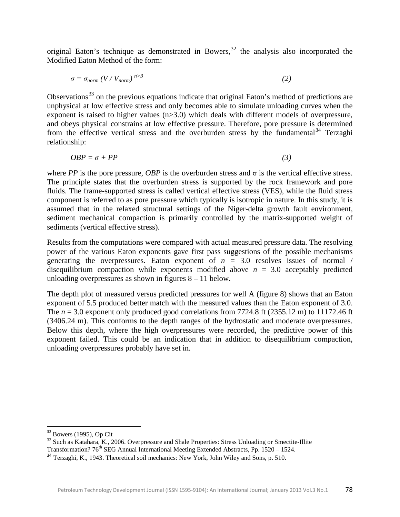original Eaton's technique as demonstrated in Bowers,  $32$  the analysis also incorporated the Modified Eaton Method of the form:

$$
\sigma = \sigma_{norm} \left( V / V_{norm} \right)^{n > 3} \tag{2}
$$

Observations<sup>[33](#page-14-1)</sup> on the previous equations indicate that original Eaton's method of predictions are unphysical at low effective stress and only becomes able to simulate unloading curves when the exponent is raised to higher values (n>3.0) which deals with different models of overpressure, and obeys physical constrains at low effective pressure. Therefore, pore pressure is determined from the effective vertical stress and the overburden stress by the fundamental<sup>[34](#page-14-2)</sup> Terzaghi relationship:

$$
OBP = \sigma + PP \tag{3}
$$

where *PP* is the pore pressure, *OBP* is the overburden stress and  $\sigma$  is the vertical effective stress. The principle states that the overburden stress is supported by the rock framework and pore fluids. The frame-supported stress is called vertical effective stress (VES), while the fluid stress component is referred to as pore pressure which typically is isotropic in nature. In this study, it is assumed that in the relaxed structural settings of the Niger-delta growth fault environment, sediment mechanical compaction is primarily controlled by the matrix-supported weight of sediments (vertical effective stress).

Results from the computations were compared with actual measured pressure data. The resolving power of the various Eaton exponents gave first pass suggestions of the possible mechanisms generating the overpressures. Eaton exponent of  $n = 3.0$  resolves issues of normal / disequilibrium compaction while exponents modified above  $n = 3.0$  acceptably predicted unloading overpressures as shown in figures 8 – 11 below.

The depth plot of measured versus predicted pressures for well A (figure 8) shows that an Eaton exponent of 5.5 produced better match with the measured values than the Eaton exponent of 3.0. The  $n = 3.0$  exponent only produced good correlations from 7724.8 ft (2355.12 m) to 11172.46 ft (3406.24 m). This conforms to the depth ranges of the hydrostatic and moderate overpressures. Below this depth, where the high overpressures were recorded, the predictive power of this exponent failed. This could be an indication that in addition to disequilibrium compaction, unloading overpressures probably have set in.

<span id="page-14-0"></span> $32$  Bowers (1995), Op Cit<br> $33$  Such as Katahara, K., 2006. Overpressure and Shale Properties: Stress Unloading or Smectite-Illite

<span id="page-14-1"></span>Transformation?  $76<sup>th</sup>$  SEG Annual International Meeting Extended Abstracts, Pp. 1520 – 1524.

<span id="page-14-2"></span><sup>&</sup>lt;sup>34</sup> Terzaghi, K., 1943. Theoretical soil mechanics: New York, John Wiley and Sons, p. 510.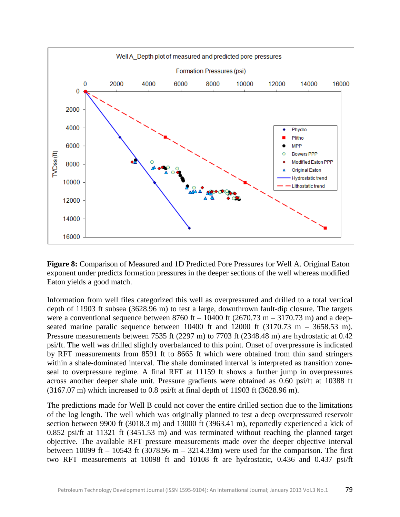

**Figure 8:** Comparison of Measured and 1D Predicted Pore Pressures for Well A. Original Eaton exponent under predicts formation pressures in the deeper sections of the well whereas modified Eaton yields a good match.

Information from well files categorized this well as overpressured and drilled to a total vertical depth of 11903 ft subsea (3628.96 m) to test a large, downthrown fault-dip closure. The targets were a conventional sequence between 8760 ft – 10400 ft (2670.73 m – 3170.73 m) and a deepseated marine paralic sequence between  $10400$  ft and  $12000$  ft  $(3170.73 \text{ m} - 3658.53 \text{ m})$ . Pressure measurements between 7535 ft (2297 m) to 7703 ft (2348.48 m) are hydrostatic at 0.42 psi/ft. The well was drilled slightly overbalanced to this point. Onset of overpressure is indicated by RFT measurements from 8591 ft to 8665 ft which were obtained from thin sand stringers within a shale-dominated interval. The shale dominated interval is interpreted as transition zoneseal to overpressure regime. A final RFT at 11159 ft shows a further jump in overpressures across another deeper shale unit. Pressure gradients were obtained as 0.60 psi/ft at 10388 ft (3167.07 m) which increased to 0.8 psi/ft at final depth of 11903 ft (3628.96 m).

The predictions made for Well B could not cover the entire drilled section due to the limitations of the log length. The well which was originally planned to test a deep overpressured reservoir section between 9900 ft (3018.3 m) and 13000 ft (3963.41 m), reportedly experienced a kick of 0.852 psi/ft at 11321 ft (3451.53 m) and was terminated without reaching the planned target objective. The available RFT pressure measurements made over the deeper objective interval between 10099 ft – 10543 ft (3078.96 m – 3214.33m) were used for the comparison. The first two RFT measurements at 10098 ft and 10108 ft are hydrostatic, 0.436 and 0.437 psi/ft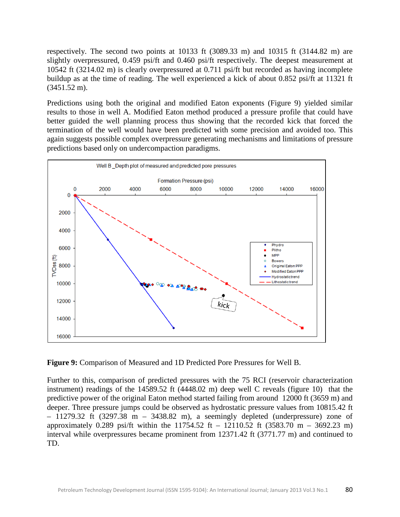respectively. The second two points at 10133 ft (3089.33 m) and 10315 ft (3144.82 m) are slightly overpressured, 0.459 psi/ft and 0.460 psi/ft respectively. The deepest measurement at 10542 ft (3214.02 m) is clearly overpressured at 0.711 psi/ft but recorded as having incomplete buildup as at the time of reading. The well experienced a kick of about 0.852 psi/ft at 11321 ft (3451.52 m).

Predictions using both the original and modified Eaton exponents (Figure 9) yielded similar results to those in well A. Modified Eaton method produced a pressure profile that could have better guided the well planning process thus showing that the recorded kick that forced the termination of the well would have been predicted with some precision and avoided too. This again suggests possible complex overpressure generating mechanisms and limitations of pressure predictions based only on undercompaction paradigms.



**Figure 9:** Comparison of Measured and 1D Predicted Pore Pressures for Well B.

Further to this, comparison of predicted pressures with the 75 RCI (reservoir characterization instrument) readings of the 14589.52 ft (4448.02 m) deep well C reveals (figure 10) that the predictive power of the original Eaton method started failing from around 12000 ft (3659 m) and deeper. Three pressure jumps could be observed as hydrostatic pressure values from 10815.42 ft  $-$  11279.32 ft (3297.38 m  $-$  3438.82 m), a seemingly depleted (underpressure) zone of approximately 0.289 psi/ft within the 11754.52 ft – 12110.52 ft  $(3583.70 \text{ m} - 3692.23 \text{ m})$ interval while overpressures became prominent from 12371.42 ft (3771.77 m) and continued to TD.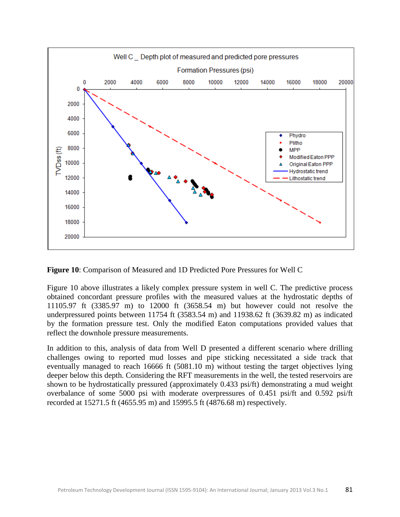

**Figure 10**: Comparison of Measured and 1D Predicted Pore Pressures for Well C

Figure 10 above illustrates a likely complex pressure system in well C. The predictive process obtained concordant pressure profiles with the measured values at the hydrostatic depths of 11105.97 ft (3385.97 m) to 12000 ft (3658.54 m) but however could not resolve the underpressured points between 11754 ft (3583.54 m) and 11938.62 ft (3639.82 m) as indicated by the formation pressure test. Only the modified Eaton computations provided values that reflect the downhole pressure measurements.

In addition to this, analysis of data from Well D presented a different scenario where drilling challenges owing to reported mud losses and pipe sticking necessitated a side track that eventually managed to reach 16666 ft (5081.10 m) without testing the target objectives lying deeper below this depth. Considering the RFT measurements in the well, the tested reservoirs are shown to be hydrostatically pressured (approximately 0.433 psi/ft) demonstrating a mud weight overbalance of some 5000 psi with moderate overpressures of 0.451 psi/ft and 0.592 psi/ft recorded at 15271.5 ft (4655.95 m) and 15995.5 ft (4876.68 m) respectively.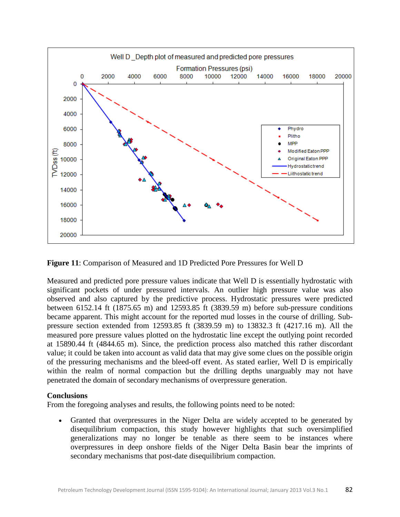

**Figure 11**: Comparison of Measured and 1D Predicted Pore Pressures for Well D

Measured and predicted pore pressure values indicate that Well D is essentially hydrostatic with significant pockets of under pressured intervals. An outlier high pressure value was also observed and also captured by the predictive process. Hydrostatic pressures were predicted between 6152.14 ft (1875.65 m) and 12593.85 ft (3839.59 m) before sub-pressure conditions became apparent. This might account for the reported mud losses in the course of drilling. Subpressure section extended from 12593.85 ft (3839.59 m) to 13832.3 ft (4217.16 m). All the measured pore pressure values plotted on the hydrostatic line except the outlying point recorded at 15890.44 ft (4844.65 m). Since, the prediction process also matched this rather discordant value; it could be taken into account as valid data that may give some clues on the possible origin of the pressuring mechanisms and the bleed-off event. As stated earlier, Well D is empirically within the realm of normal compaction but the drilling depths unarguably may not have penetrated the domain of secondary mechanisms of overpressure generation.

### **Conclusions**

From the foregoing analyses and results, the following points need to be noted:

• Granted that overpressures in the Niger Delta are widely accepted to be generated by disequilibrium compaction, this study however highlights that such oversimplified generalizations may no longer be tenable as there seem to be instances where overpressures in deep onshore fields of the Niger Delta Basin bear the imprints of secondary mechanisms that post-date disequilibrium compaction.